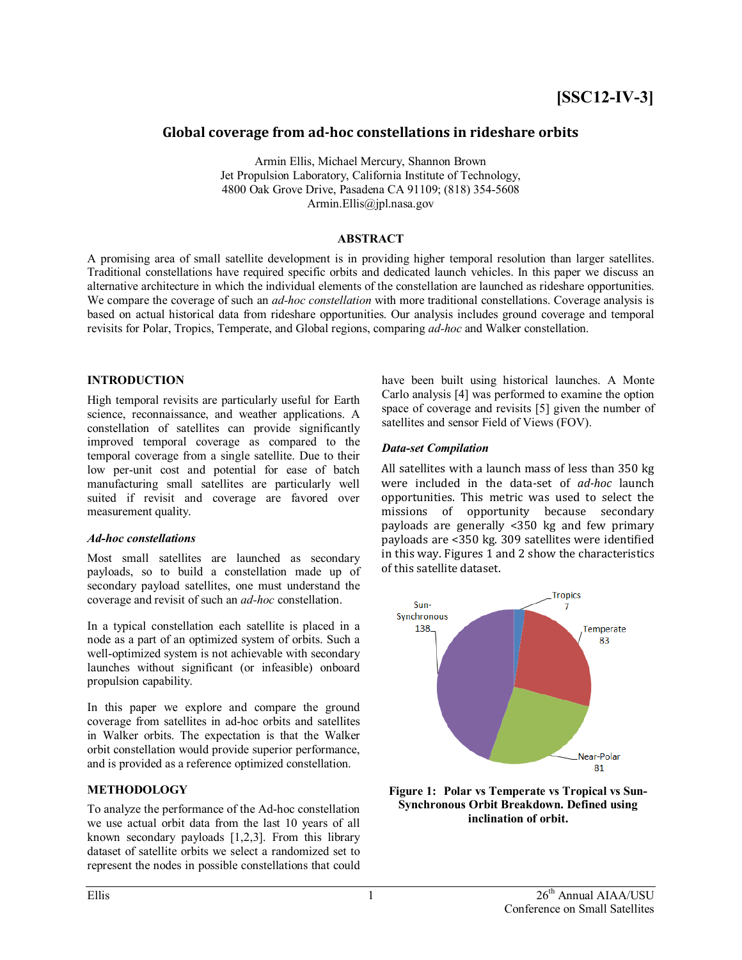# **Global coverage from ad-hoc constellations in rideshare orbits**

Armin Ellis, Michael Mercury, Shannon Brown Jet Propulsion Laboratory, California Institute of Technology, 4800 Oak Grove Drive, Pasadena CA 91109; (818) 354-5608 Armin.Ellis@jpl.nasa.gov

### **ABSTRACT**

A promising area of small satellite development is in providing higher temporal resolution than larger satellites. Traditional constellations have required specific orbits and dedicated launch vehicles. In this paper we discuss an alternative architecture in which the individual elements of the constellation are launched as rideshare opportunities. We compare the coverage of such an *ad-hoc constellation* with more traditional constellations. Coverage analysis is based on actual historical data from rideshare opportunities. Our analysis includes ground coverage and temporal revisits for Polar, Tropics, Temperate, and Global regions, comparing *ad-hoc* and Walker constellation.

### **INTRODUCTION**

High temporal revisits are particularly useful for Earth science, reconnaissance, and weather applications. A constellation of satellites can provide significantly improved temporal coverage as compared to the temporal coverage from a single satellite. Due to their low per-unit cost and potential for ease of batch manufacturing small satellites are particularly well suited if revisit and coverage are favored over measurement quality.

#### *Ad-hoc constellations*

Most small satellites are launched as secondary payloads, so to build a constellation made up of secondary payload satellites, one must understand the coverage and revisit of such an *ad-hoc* constellation.

In a typical constellation each satellite is placed in a node as a part of an optimized system of orbits. Such a well-optimized system is not achievable with secondary launches without significant (or infeasible) onboard propulsion capability.

In this paper we explore and compare the ground coverage from satellites in ad-hoc orbits and satellites in Walker orbits. The expectation is that the Walker orbit constellation would provide superior performance, and is provided as a reference optimized constellation.

### **METHODOLOGY**

To analyze the performance of the Ad-hoc constellation we use actual orbit data from the last 10 years of all known secondary payloads [1,2,3]. From this library dataset of satellite orbits we select a randomized set to represent the nodes in possible constellations that could

have been built using historical launches. A Monte Carlo analysis [4] was performed to examine the option space of coverage and revisits [5] given the number of satellites and sensor Field of Views (FOV).

### *Data-set Compilation*

All satellites with a launch mass of less than 350 kg were included in the data-set of *ad-hoc* launch opportunities. This metric was used to select the missions of opportunity because secondary payloads are generally <350 kg and few primary payloads are <350 kg. 309 satellites were identified in this way. Figures 1 and 2 show the characteristics of this satellite dataset.



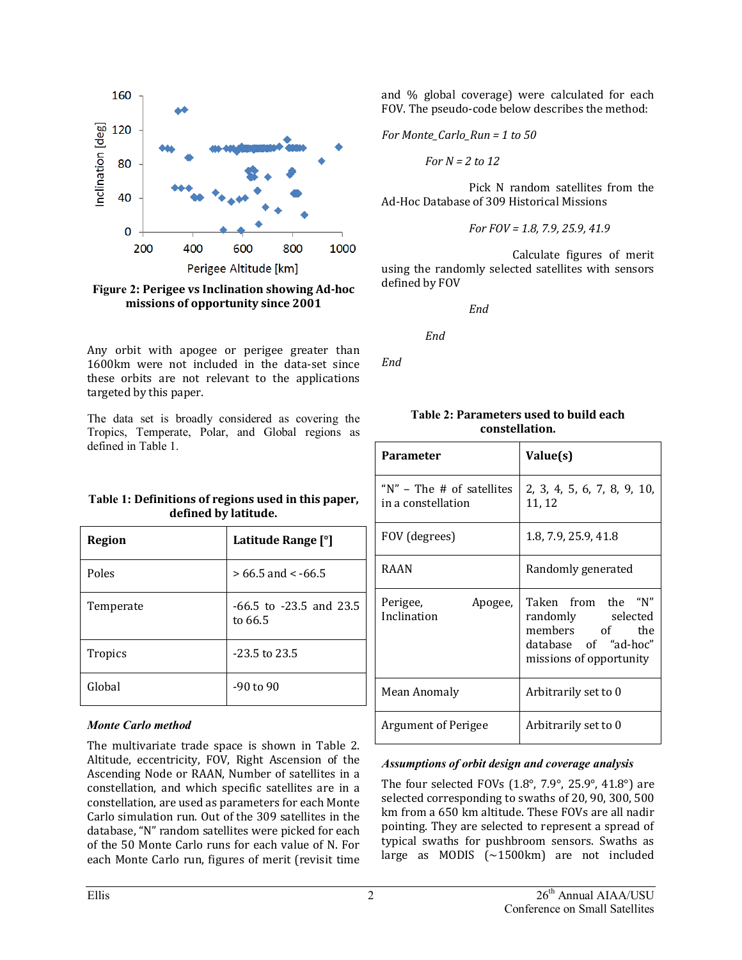

**Figure 2: Perigee vs Inclination showing Ad-hoc missions of opportunity since 2001**

Any orbit with apogee or perigee greater than 1600km were not included in the data-set since these orbits are not relevant to the applications targeted by this paper.

The data set is broadly considered as covering the Tropics, Temperate, Polar, and Global regions as defined in Table 1.

**Table 1: Definitions of regions used in this paper, defined by latitude.**

| <b>Region</b>  | Latitude Range [°]                     |
|----------------|----------------------------------------|
| Poles          | $> 66.5$ and < -66.5                   |
| Temperate      | $-66.5$ to $-23.5$ and 23.5<br>to 66.5 |
| <b>Tropics</b> | $-23.5$ to 23.5                        |
| Global         | $-90$ to $90$                          |

#### *Monte Carlo method*

The multivariate trade space is shown in Table 2. Altitude, eccentricity, FOV, Right Ascension of the Ascending Node or RAAN, Number of satellites in a constellation, and which specific satellites are in a constellation, are used as parameters for each Monte Carlo simulation run. Out of the 309 satellites in the database, "N" random satellites were picked for each of the 50 Monte Carlo runs for each value of N. For each Monte Carlo run, figures of merit (revisit time

and % global coverage) were calculated for each FOV. The pseudo-code below describes the method:

*For Monte\_Carlo\_Run = 1 to 50*

*For N = 2 to 12*

Pick N random satellites from the Ad-Hoc Database of 309 Historical Missions

For 
$$
FOV = 1.8, 7.9, 25.9, 41.9
$$

Calculate figures of merit using the randomly selected satellites with sensors defined by FOV

*End*

*End*

*End*

| <b>Parameter</b>                                    | Value(s)                                                                                                     |  |
|-----------------------------------------------------|--------------------------------------------------------------------------------------------------------------|--|
| " $N$ " – The # of satellites<br>in a constellation | 2, 3, 4, 5, 6, 7, 8, 9, 10,<br>11, 12                                                                        |  |
| FOV (degrees)                                       | 1.8, 7.9, 25.9, 41.8                                                                                         |  |
| RAAN                                                | Randomly generated                                                                                           |  |
| Perigee,<br>Apogee,<br>Inclination                  | Taken from the "N"<br>randomly selected<br>members of the<br>database of "ad-hoc"<br>missions of opportunity |  |
| Mean Anomaly                                        | Arbitrarily set to 0                                                                                         |  |
| <b>Argument of Perigee</b>                          | Arbitrarily set to 0                                                                                         |  |

#### **Table 2: Parameters used to build each constellation.**

### *Assumptions of orbit design and coverage analysis*

The four selected FOVs  $(1.8^{\circ}, 7.9^{\circ}, 25.9^{\circ}, 41.8^{\circ})$  are selected corresponding to swaths of 20, 90, 300, 500 km from a 650 km altitude. These FOVs are all nadir pointing. They are selected to represent a spread of typical swaths for pushbroom sensors. Swaths as large as MODIS (~1500km) are not included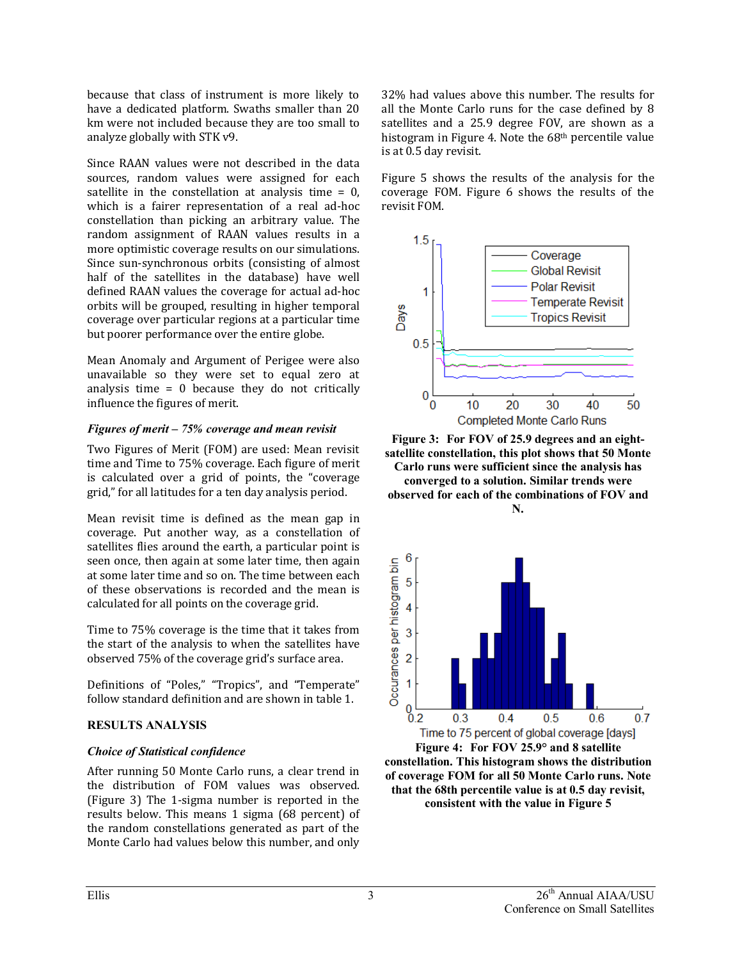because that class of instrument is more likely to have a dedicated platform. Swaths smaller than 20 km were not included because they are too small to analyze globally with STK v9.

Since RAAN values were not described in the data sources, random values were assigned for each satellite in the constellation at analysis time  $= 0$ . which is a fairer representation of a real ad-hoc constellation than picking an arbitrary value. The random assignment of RAAN values results in a more optimistic coverage results on our simulations. Since sun-synchronous orbits (consisting of almost half of the satellites in the database) have well defined RAAN values the coverage for actual ad-hoc orbits will be grouped, resulting in higher temporal coverage over particular regions at a particular time but poorer performance over the entire globe.

Mean Anomaly and Argument of Perigee were also unavailable so they were set to equal zero at analysis time = 0 because they do not critically influence the figures of merit.

### *Figures of merit – 75% coverage and mean revisit*

Two Figures of Merit (FOM) are used: Mean revisit time and Time to 75% coverage. Each figure of merit is calculated over a grid of points, the "coverage grid," for all latitudes for a ten day analysis period.

Mean revisit time is defined as the mean gap in coverage. Put another way, as a constellation of satellites flies around the earth, a particular point is seen once, then again at some later time, then again at some later time and so on. The time between each of these observations is recorded and the mean is calculated for all points on the coverage grid.

Time to 75% coverage is the time that it takes from the start of the analysis to when the satellites have observed 75% of the coverage grid's surface area.

Definitions of "Poles," "Tropics", and "Temperate" follow standard definition and are shown in table 1.

## **RESULTS ANALYSIS**

## *Choice of Statistical confidence*

After running 50 Monte Carlo runs, a clear trend in the distribution of FOM values was observed. (Figure 3) The 1-sigma number is reported in the results below. This means 1 sigma (68 percent) of the random constellations generated as part of the Monte Carlo had values below this number, and only

32% had values above this number. The results for all the Monte Carlo runs for the case defined by 8 satellites and a 25.9 degree FOV, are shown as a histogram in Figure 4. Note the 68th percentile value is at 0.5 day revisit.

Figure 5 shows the results of the analysis for the coverage FOM. Figure 6 shows the results of the revisit FOM.



**Figure 3: For FOV of 25.9 degrees and an eightsatellite constellation, this plot shows that 50 Monte Carlo runs were sufficient since the analysis has converged to a solution. Similar trends were observed for each of the combinations of FOV and N.**



**constellation. This histogram shows the distribution of coverage FOM for all 50 Monte Carlo runs. Note that the 68th percentile value is at 0.5 day revisit, consistent with the value in Figure 5**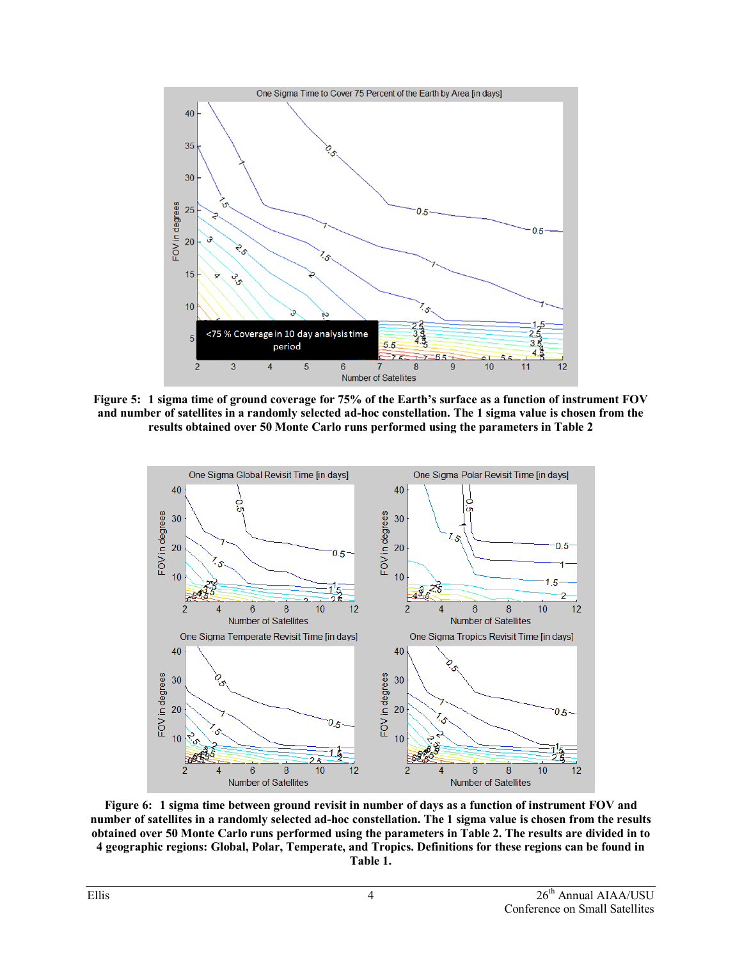

**Figure 5: 1 sigma time of ground coverage for 75% of the Earth's surface as a function of instrument FOV and number of satellites in a randomly selected ad-hoc constellation. The 1 sigma value is chosen from the results obtained over 50 Monte Carlo runs performed using the parameters in Table 2**



**Figure 6: 1 sigma time between ground revisit in number of days as a function of instrument FOV and number of satellites in a randomly selected ad-hoc constellation. The 1 sigma value is chosen from the results obtained over 50 Monte Carlo runs performed using the parameters in Table 2. The results are divided in to 4 geographic regions: Global, Polar, Temperate, and Tropics. Definitions for these regions can be found in Table 1.**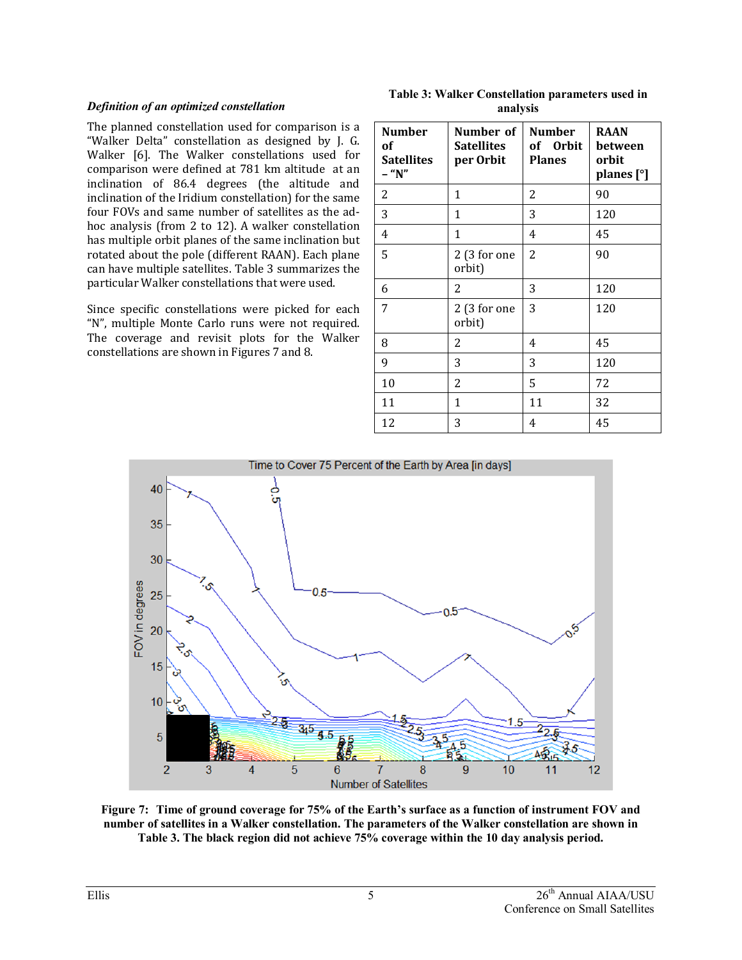### *Definition of an optimized constellation*

The planned constellation used for comparison is a "Walker Delta" constellation as designed by J. G. Walker [6]. The Walker constellations used for comparison were defined at 781 km altitude at an inclination of 86.4 degrees (the altitude and inclination of the Iridium constellation) for the same four FOVs and same number of satellites as the adhoc analysis (from 2 to 12). A walker constellation has multiple orbit planes of the same inclination but rotated about the pole (different RAAN). Each plane can have multiple satellites. Table 3 summarizes the particular Walker constellations that were used.

Since specific constellations were picked for each "N", multiple Monte Carlo runs were not required. The coverage and revisit plots for the Walker constellations are shown in Figures 7 and 8.

**Table 3: Walker Constellation parameters used in analysis** 

| <b>Number</b><br>оf<br><b>Satellites</b><br>- "N" | Number of<br><b>Satellites</b><br>per Orbit | <b>Number</b><br>of Orbit<br><b>Planes</b> | <b>RAAN</b><br>between<br>orbit<br>planes [°] |
|---------------------------------------------------|---------------------------------------------|--------------------------------------------|-----------------------------------------------|
| 2                                                 | 1                                           | 2                                          | 90                                            |
| 3                                                 | 1                                           | 3                                          | 120                                           |
| 4                                                 | 1                                           | 4                                          | 45                                            |
| 5                                                 | 2(3 for one<br>orbit)                       | $\overline{2}$                             | 90                                            |
| 6                                                 | 2                                           | 3                                          | 120                                           |
| 7                                                 | 2(3 for one<br>orbit)                       | 3                                          | 120                                           |
| 8                                                 | 2                                           | 4                                          | 45                                            |
| 9                                                 | 3                                           | 3                                          | 120                                           |
| 10                                                | 2                                           | 5                                          | 72                                            |
| 11                                                | 1                                           | 11                                         | 32                                            |
| 12                                                | 3                                           | 4                                          | 45                                            |



**Figure 7: Time of ground coverage for 75% of the Earth's surface as a function of instrument FOV and number of satellites in a Walker constellation. The parameters of the Walker constellation are shown in Table 3. The black region did not achieve 75% coverage within the 10 day analysis period.**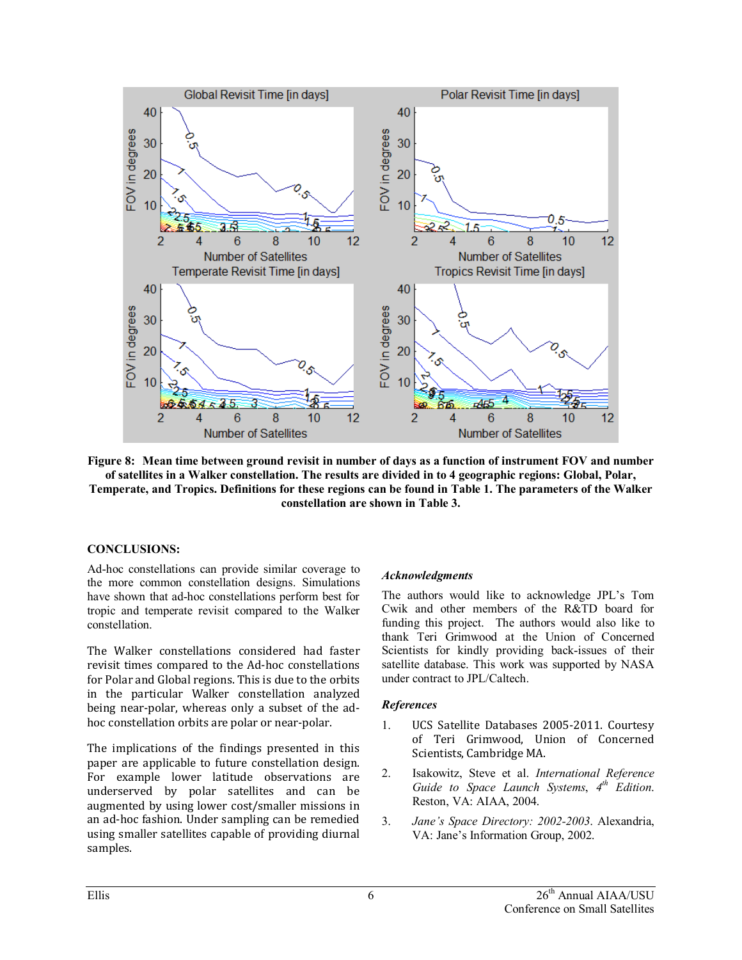

**Figure 8: Mean time between ground revisit in number of days as a function of instrument FOV and number of satellites in a Walker constellation. The results are divided in to 4 geographic regions: Global, Polar, Temperate, and Tropics. Definitions for these regions can be found in Table 1. The parameters of the Walker constellation are shown in Table 3.**

### **CONCLUSIONS:**

Ad-hoc constellations can provide similar coverage to the more common constellation designs. Simulations have shown that ad-hoc constellations perform best for tropic and temperate revisit compared to the Walker constellation.

The Walker constellations considered had faster revisit times compared to the Ad-hoc constellations for Polar and Global regions. This is due to the orbits in the particular Walker constellation analyzed being near-polar, whereas only a subset of the adhoc constellation orbits are polar or near-polar.

The implications of the findings presented in this paper are applicable to future constellation design. For example lower latitude observations are underserved by polar satellites and can be augmented by using lower cost/smaller missions in an ad-hoc fashion. Under sampling can be remedied using smaller satellites capable of providing diurnal samples.

## *Acknowledgments*

The authors would like to acknowledge JPL's Tom Cwik and other members of the R&TD board for funding this project. The authors would also like to thank Teri Grimwood at the Union of Concerned Scientists for kindly providing back-issues of their satellite database. This work was supported by NASA under contract to JPL/Caltech.

### *References*

- 1. UCS Satellite Databases 2005-2011. Courtesy of Teri Grimwood, Union of Concerned Scientists, Cambridge MA.
- 2. Isakowitz, Steve et al. *International Reference Guide to Space Launch Systems*, *4th Edition*. Reston, VA: AIAA, 2004.
- 3. *Jane's Space Directory: 2002-2003*. Alexandria, VA: Jane's Information Group, 2002.